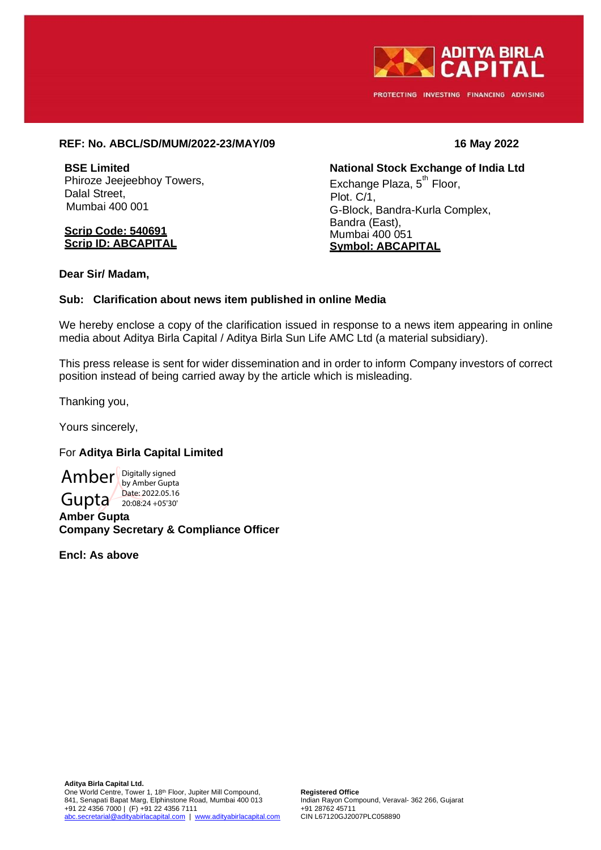

PROTECTING INVESTING FINANCING ADVISING

## **REF: No. ABCL/SD/MUM/2022-23/MAY/09 16 May 2022**

**BSE Limited** Phiroze Jeejeebhoy Towers, Dalal Street, Mumbai 400 001

#### **Scrip Code: 540691 Scrip ID: ABCAPITAL**

**National Stock Exchange of India Ltd** Exchange Plaza, 5<sup>th</sup> Floor, Plot. C/1, G-Block, Bandra-Kurla Complex, Bandra (East), Mumbai 400 051 **Symbol: ABCAPITAL**

**Dear Sir/ Madam,**

## **Sub: Clarification about news item published in online Media**

We hereby enclose a copy of the clarification issued in response to a news item appearing in online media about Aditya Birla Capital / Aditya Birla Sun Life AMC Ltd (a material subsidiary).

This press release is sent for wider dissemination and in order to inform Company investors of correct position instead of being carried away by the article which is misleading.

Thanking you,

Yours sincerely,

## For **Aditya Birla Capital Limited**

Amber Bigitally signed Gupta 20:08:24 + 05'30' by Amber Gupta<br>Date: 2022.05.16 20:08:24 +05'30'

**Amber Gupta Company Secretary & Compliance Officer**

**Encl: As above**